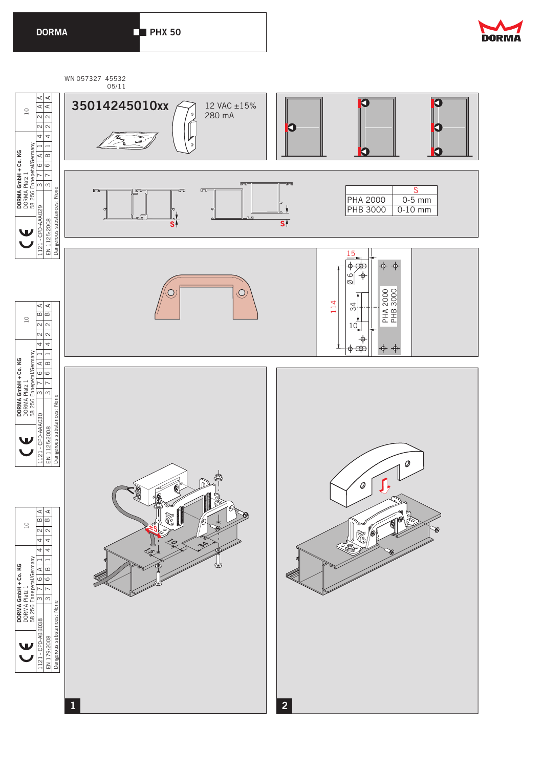**DORMA PHX 50**